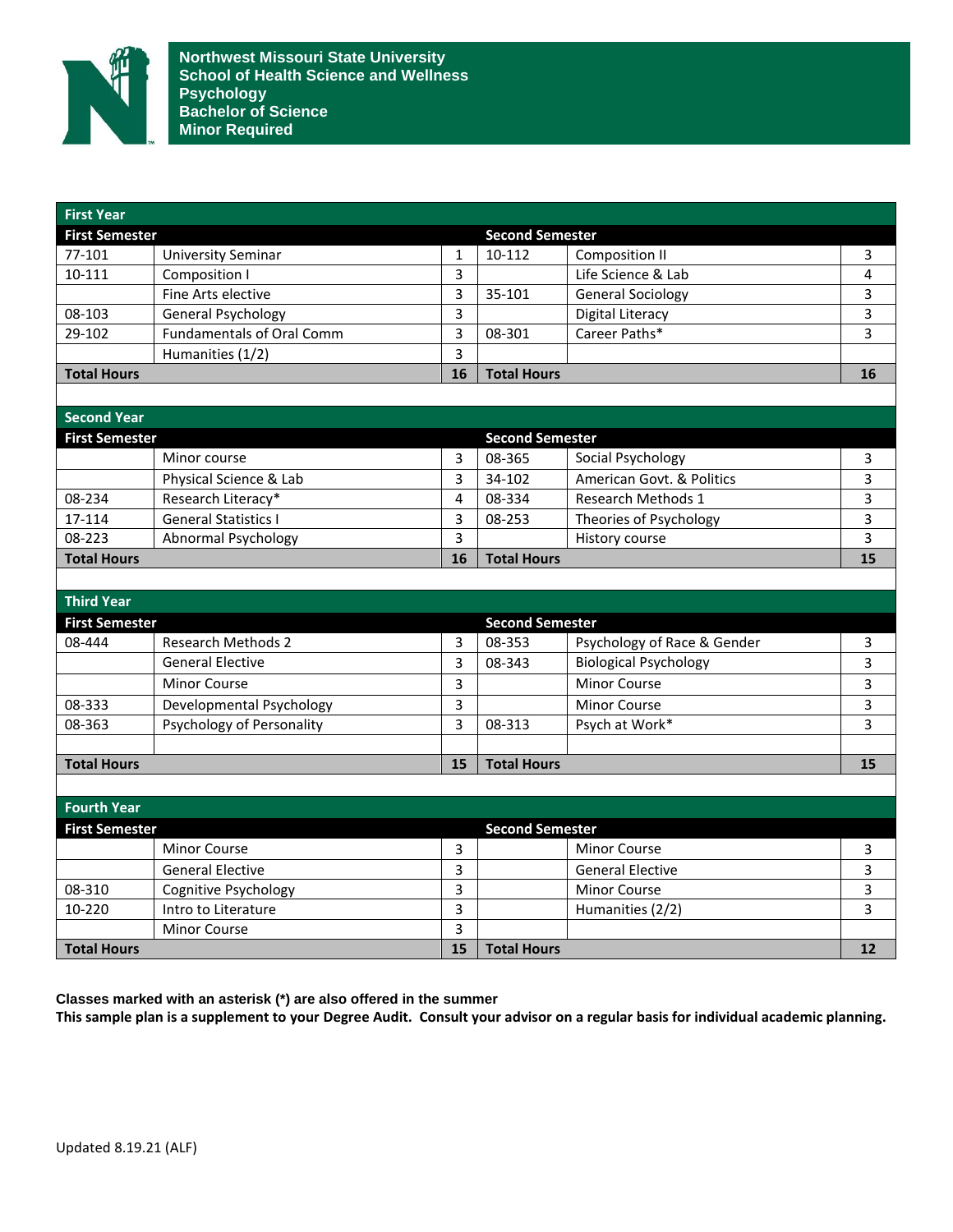

| <b>First Year</b>     |                                  |                        |                        |                              |    |
|-----------------------|----------------------------------|------------------------|------------------------|------------------------------|----|
| <b>First Semester</b> |                                  |                        | <b>Second Semester</b> |                              |    |
| 77-101                | <b>University Seminar</b>        | $\mathbf{1}$           | 10-112                 | <b>Composition II</b>        | 3  |
| 10-111                | Composition I                    | $\overline{3}$         |                        | Life Science & Lab           | 4  |
|                       | Fine Arts elective               | 3                      | 35-101                 | <b>General Sociology</b>     | 3  |
| 08-103                | General Psychology               | $\overline{3}$         |                        | <b>Digital Literacy</b>      | 3  |
| 29-102                | <b>Fundamentals of Oral Comm</b> | $\overline{3}$         | 08-301                 | Career Paths*                | 3  |
|                       | Humanities (1/2)                 | $\overline{3}$         |                        |                              |    |
| <b>Total Hours</b>    |                                  | 16                     | <b>Total Hours</b>     |                              | 16 |
|                       |                                  |                        |                        |                              |    |
| <b>Second Year</b>    |                                  |                        |                        |                              |    |
| <b>First Semester</b> |                                  |                        | <b>Second Semester</b> |                              |    |
|                       | Minor course                     | $\overline{3}$         | 08-365                 | Social Psychology            | 3  |
|                       | Physical Science & Lab           | 3                      | 34-102                 | American Govt. & Politics    | 3  |
| 08-234                | Research Literacy*               | $\overline{4}$         | 08-334                 | Research Methods 1           | 3  |
| 17-114                | <b>General Statistics I</b>      | $\overline{3}$         | 08-253                 | Theories of Psychology       | 3  |
| 08-223                | <b>Abnormal Psychology</b>       | $\overline{3}$         |                        | History course               | 3  |
| <b>Total Hours</b>    |                                  | 16                     | <b>Total Hours</b>     |                              | 15 |
|                       |                                  |                        |                        |                              |    |
| <b>Third Year</b>     |                                  |                        |                        |                              |    |
| <b>First Semester</b> |                                  | <b>Second Semester</b> |                        |                              |    |
| 08-444                | <b>Research Methods 2</b>        | $\overline{3}$         | 08-353                 | Psychology of Race & Gender  | 3  |
|                       | <b>General Elective</b>          | 3                      | 08-343                 | <b>Biological Psychology</b> | 3  |
|                       | <b>Minor Course</b>              | $\overline{3}$         |                        | <b>Minor Course</b>          | 3  |
| 08-333                | Developmental Psychology         | $\overline{3}$         |                        | <b>Minor Course</b>          | 3  |
| 08-363                | Psychology of Personality        | 3                      | 08-313                 | Psych at Work*               | 3  |
|                       |                                  |                        |                        |                              |    |
| <b>Total Hours</b>    |                                  | 15                     | <b>Total Hours</b>     |                              | 15 |
|                       |                                  |                        |                        |                              |    |
| <b>Fourth Year</b>    |                                  |                        |                        |                              |    |
| <b>First Semester</b> |                                  |                        | <b>Second Semester</b> |                              |    |
|                       | Minor Course                     | 3                      |                        | <b>Minor Course</b>          | 3  |
|                       | <b>General Elective</b>          | $\overline{3}$         |                        | <b>General Elective</b>      | 3  |
| 08-310                | Cognitive Psychology             | $\overline{3}$         |                        | <b>Minor Course</b>          | 3  |
| 10-220                | Intro to Literature              | $\overline{3}$         |                        | Humanities (2/2)             | 3  |
|                       | Minor Course                     | $\overline{3}$         |                        |                              |    |
| <b>Total Hours</b>    |                                  | 15                     | <b>Total Hours</b>     |                              | 12 |
|                       |                                  |                        |                        |                              |    |

**Classes marked with an asterisk (\*) are also offered in the summer** 

**This sample plan is a supplement to your Degree Audit. Consult your advisor on a regular basis for individual academic planning.**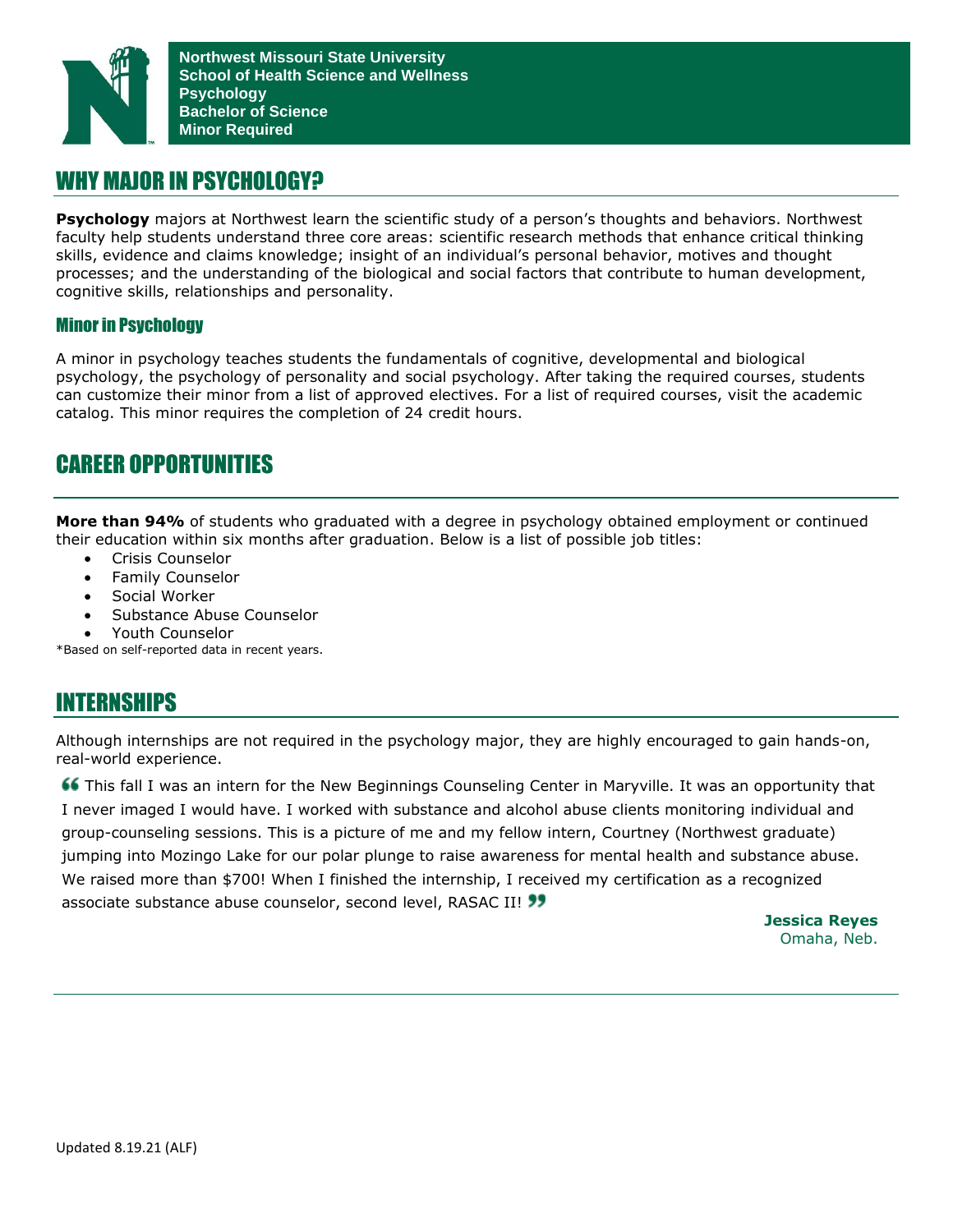

#### WHY MAJOR IN PSYCHOLOGY?

**Psychology** majors at Northwest learn the scientific study of a person's thoughts and behaviors. Northwest faculty help students understand three core areas: scientific research methods that enhance critical thinking skills, evidence and claims knowledge; insight of an individual's personal behavior, motives and thought processes; and the understanding of the biological and social factors that contribute to human development, cognitive skills, relationships and personality.

#### Minor in Psychology

A minor in psychology teaches students the fundamentals of cognitive, developmental and biological psychology, the psychology of personality and social psychology. After taking the required courses, students can customize their minor from a list of approved electives. For a list of required courses, visit the academic catalog. This minor requires the completion of 24 credit hours.

### CAREER OPPORTUNITIES**94**%

**More than 94%** of students who graduated with a degree in psychology obtained employment or continued their education within six months after graduation. Below is a list of possible job titles:

- Crisis Counselor
- Family Counselor
- Social Worker
- Substance Abuse Counselor
- Youth Counselor

\*Based on self-reported data in recent years.

# INTERNSHIPS

Although internships are not required in the psychology major, they are highly encouraged to gain hands-on, real-world experience.

This fall I was an intern for the New Beginnings Counseling Center in Maryville. It was an opportunity that I never imaged I would have. I worked with substance and alcohol abuse clients monitoring individual and group-counseling sessions. This is a picture of me and my fellow intern, Courtney (Northwest graduate) jumping into Mozingo Lake for our polar plunge to raise awareness for mental health and substance abuse. We raised more than \$700! When I finished the internship, I received my certification as a recognized associate substance abuse counselor, second level, RASAC II! 33

**Jessica Reyes** Omaha, Neb.